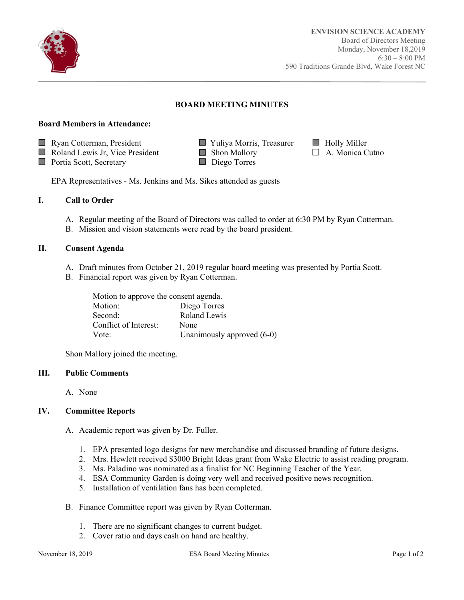

Ī

# **BOARD MEETING MINUTES**

#### **Board Members in Attendance:**

- Ryan Cotterman, President Yuliya Morris, Treasurer Holly Miller
- $\Box$  Roland Lewis Jr, Vice President  $\Box$  Shon Mallory  $\Box$  A. Monica Cutno
- Portia Scott, Secretary Diego Torres
- 
- 

EPA Representatives - Ms. Jenkins and Ms. Sikes attended as guests

## **I. Call to Order**

- A. Regular meeting of the Board of Directors was called to order at 6:30 PM by Ryan Cotterman.
- B. Mission and vision statements were read by the board president.

#### **II. Consent Agenda**

- A. Draft minutes from October 21, 2019 regular board meeting was presented by Portia Scott.
- B. Financial report was given by Ryan Cotterman.

| Motion to approve the consent agenda. |                              |  |
|---------------------------------------|------------------------------|--|
| Motion:                               | Diego Torres                 |  |
| Second:                               | Roland Lewis                 |  |
| Conflict of Interest:                 | None                         |  |
| Vote:                                 | Unanimously approved $(6-0)$ |  |

Shon Mallory joined the meeting.

#### **III. Public Comments**

A. None

### **IV. Committee Reports**

- A. Academic report was given by Dr. Fuller.
	- 1. EPA presented logo designs for new merchandise and discussed branding of future designs.
	- 2. Mrs. Hewlett received \$3000 Bright Ideas grant from Wake Electric to assist reading program.
	- 3. Ms. Paladino was nominated as a finalist for NC Beginning Teacher of the Year.
	- 4. ESA Community Garden is doing very well and received positive news recognition.
	- 5. Installation of ventilation fans has been completed.
- B. Finance Committee report was given by Ryan Cotterman.
	- 1. There are no significant changes to current budget.
	- 2. Cover ratio and days cash on hand are healthy.